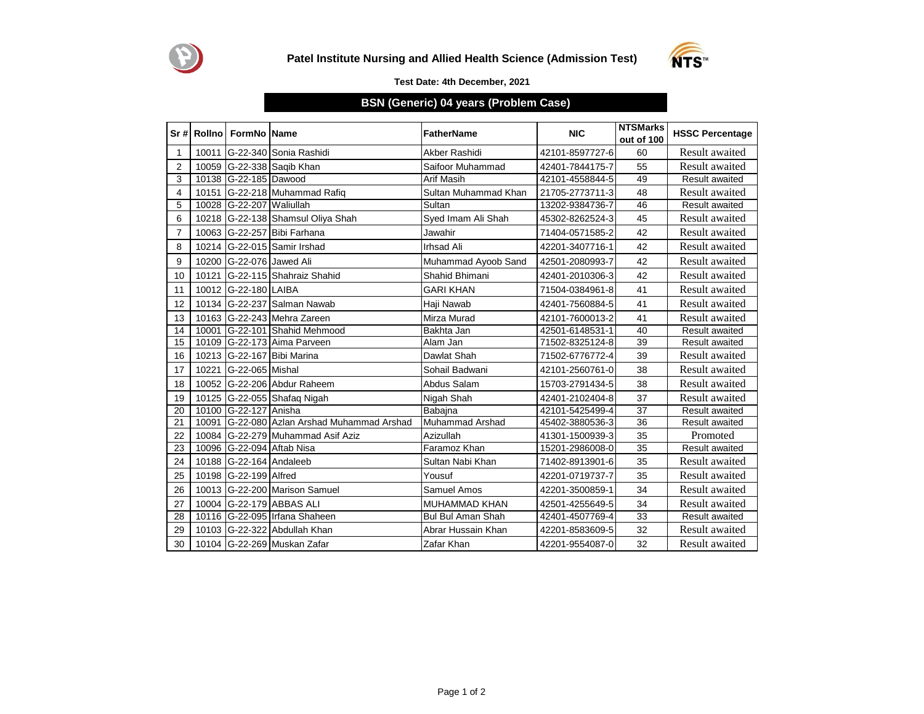



## **Test Date: 4th December, 2021**

## **BSN (Generic) 04 years (Problem Case)**

|                |       | Sr # Rollno   FormNo   Name |                                       | <b>FatherName</b>        | <b>NIC</b>      | <b>NTSMarks</b><br>out of 100 | <b>HSSC Percentage</b> |
|----------------|-------|-----------------------------|---------------------------------------|--------------------------|-----------------|-------------------------------|------------------------|
| 1              |       |                             | 10011 G-22-340 Sonia Rashidi          | Akber Rashidi            | 42101-8597727-6 | 60                            | <b>Result</b> awaited  |
| $\overline{2}$ |       |                             | 10059 G-22-338 Saqib Khan             | Saifoor Muhammad         | 42401-7844175-7 | 55                            | <b>Result</b> awaited  |
| 3              |       | 10138 G-22-185 Dawood       |                                       | Arif Masih               | 42101-4558844-5 | 49                            | <b>Result awaited</b>  |
| $\overline{4}$ |       |                             | 10151 G-22-218 Muhammad Rafiq         | Sultan Muhammad Khan     | 21705-2773711-3 | 48                            | Result awaited         |
| 5              |       | 10028 G-22-207 Waliullah    |                                       | Sultan                   | 13202-9384736-7 | 46                            | Result awaited         |
| 6              |       |                             | 10218 G-22-138 Shamsul Oliya Shah     | Syed Imam Ali Shah       | 45302-8262524-3 | 45                            | Result awaited         |
| $\overline{7}$ |       |                             | 10063 G-22-257 Bibi Farhana           | Jawahir                  | 71404-0571585-2 | 42                            | <b>Result</b> awaited  |
| 8              |       |                             | 10214 G-22-015 Samir Irshad           | <b>Irhsad Ali</b>        | 42201-3407716-1 | 42                            | Result awaited         |
| 9              |       | 10200 G-22-076 Jawed Ali    |                                       | Muhammad Ayoob Sand      | 42501-2080993-7 | 42                            | <b>Result</b> awaited  |
| 10             | 10121 |                             | G-22-115 Shahraiz Shahid              | Shahid Bhimani           | 42401-2010306-3 | 42                            | <b>Result</b> awaited  |
| 11             |       | 10012 G-22-180 LAIBA        |                                       | <b>GARI KHAN</b>         | 71504-0384961-8 | 41                            | <b>Result</b> awaited  |
| 12             |       |                             | 10134 G-22-237 Salman Nawab           | Haji Nawab               | 42401-7560884-5 | 41                            | Result awaited         |
| 13             |       |                             | 10163 G-22-243 Mehra Zareen           | Mirza Murad              | 42101-7600013-2 | 41                            | Result awaited         |
| 14             | 10001 |                             | G-22-101 Shahid Mehmood               | Bakhta Jan               | 42501-6148531-1 | 40                            | <b>Result awaited</b>  |
| 15             |       |                             | 10109 G-22-173 Aima Parveen           | Alam Jan                 | 71502-8325124-8 | 39                            | <b>Result awaited</b>  |
| 16             |       |                             | 10213 G-22-167 Bibi Marina            | Dawlat Shah              | 71502-6776772-4 | 39                            | <b>Result</b> awaited  |
| 17             | 10221 | G-22-065 Mishal             |                                       | Sohail Badwani           | 42101-2560761-0 | 38                            | <b>Result</b> awaited  |
| 18             |       |                             | 10052 G-22-206 Abdur Raheem           | Abdus Salam              | 15703-2791434-5 | 38                            | Result awaited         |
| 19             |       |                             | 10125 G-22-055 Shafaq Nigah           | Nigah Shah               | 42401-2102404-8 | 37                            | <b>Result</b> awaited  |
| 20             | 10100 | G-22-127 Anisha             |                                       | Babajna                  | 42101-5425499-4 | 37                            | <b>Result awaited</b>  |
| 21             | 10091 |                             | G-22-080 Azlan Arshad Muhammad Arshad | Muhammad Arshad          | 45402-3880536-3 | 36                            | Result awaited         |
| 22             |       |                             | 10084 G-22-279 Muhammad Asif Aziz     | Azizullah                | 41301-1500939-3 | 35                            | Promoted               |
| 23             |       |                             | 10096 G-22-094 Aftab Nisa             | Faramoz Khan             | 15201-2986008-0 | 35                            | <b>Result awaited</b>  |
| 24             |       | 10188 G-22-164 Andaleeb     |                                       | Sultan Nabi Khan         | 71402-8913901-6 | 35                            | <b>Result</b> awaited  |
| 25             |       | 10198 G-22-199 Alfred       |                                       | Yousuf                   | 42201-0719737-7 | 35                            | Result awaited         |
| 26             |       |                             | 10013 G-22-200 Marison Samuel         | Samuel Amos              | 42201-3500859-1 | 34                            | <b>Result</b> awaited  |
| 27             |       |                             | 10004 G-22-179 ABBAS ALI              | MUHAMMAD KHAN            | 42501-4255649-5 | 34                            | <b>Result</b> awaited  |
| 28             |       |                             | 10116 G-22-095 Irfana Shaheen         | <b>Bul Bul Aman Shah</b> | 42401-4507769-4 | 33                            | Result awaited         |
| 29             |       |                             | 10103 G-22-322 Abdullah Khan          | Abrar Hussain Khan       | 42201-8583609-5 | 32                            | <b>Result</b> awaited  |
| 30             |       |                             | 10104 G-22-269 Muskan Zafar           | Zafar Khan               | 42201-9554087-0 | 32                            | Result awaited         |